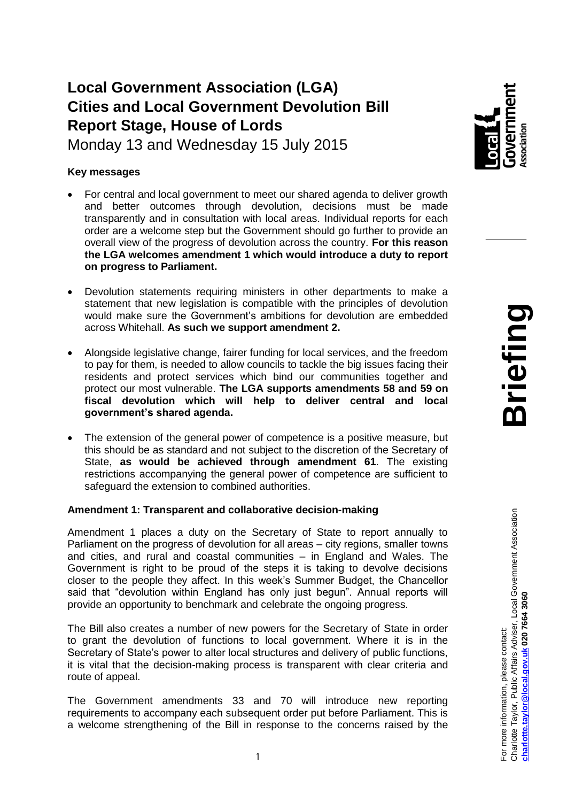# **Local Government Association (LGA) Cities and Local Government Devolution Bill Report Stage, House of Lords**

Monday 13 and Wednesday 15 July 2015

## **Key messages**

- For central and local government to meet our shared agenda to deliver growth and better outcomes through devolution, decisions must be made transparently and in consultation with local areas. Individual reports for each order are a welcome step but the Government should go further to provide an overall view of the progress of devolution across the country. **For this reason the LGA welcomes amendment 1 which would introduce a duty to report on progress to Parliament.**
- Devolution statements requiring ministers in other departments to make a statement that new legislation is compatible with the principles of devolution would make sure the Government's ambitions for devolution are embedded across Whitehall. **As such we support amendment 2.**
- Alongside legislative change, fairer funding for local services, and the freedom to pay for them, is needed to allow councils to tackle the big issues facing their residents and protect services which bind our communities together and protect our most vulnerable. **The LGA supports amendments 58 and 59 on fiscal devolution which will help to deliver central and local government's shared agenda.**
- The extension of the general power of competence is a positive measure, but this should be as standard and not subject to the discretion of the Secretary of State, **as would be achieved through amendment 61**. The existing restrictions accompanying the general power of competence are sufficient to safeguard the extension to combined authorities.

## **Amendment 1: Transparent and collaborative decision-making**

Amendment 1 places a duty on the Secretary of State to report annually to Parliament on the progress of devolution for all areas – city regions, smaller towns and cities, and rural and coastal communities – in England and Wales. The Government is right to be proud of the steps it is taking to devolve decisions closer to the people they affect. In this week's Summer Budget, the Chancellor said that "devolution within England has only just begun". Annual reports will provide an opportunity to benchmark and celebrate the ongoing progress.

The Bill also creates a number of new powers for the Secretary of State in order to grant the devolution of functions to local government. Where it is in the Secretary of State's power to alter local structures and delivery of public functions, it is vital that the decision-making process is transparent with clear criteria and route of appeal.

The Government amendments 33 and 70 will introduce new reporting requirements to accompany each subsequent order put before Parliament. This is a welcome strengthening of the Bill in response to the concerns raised by the